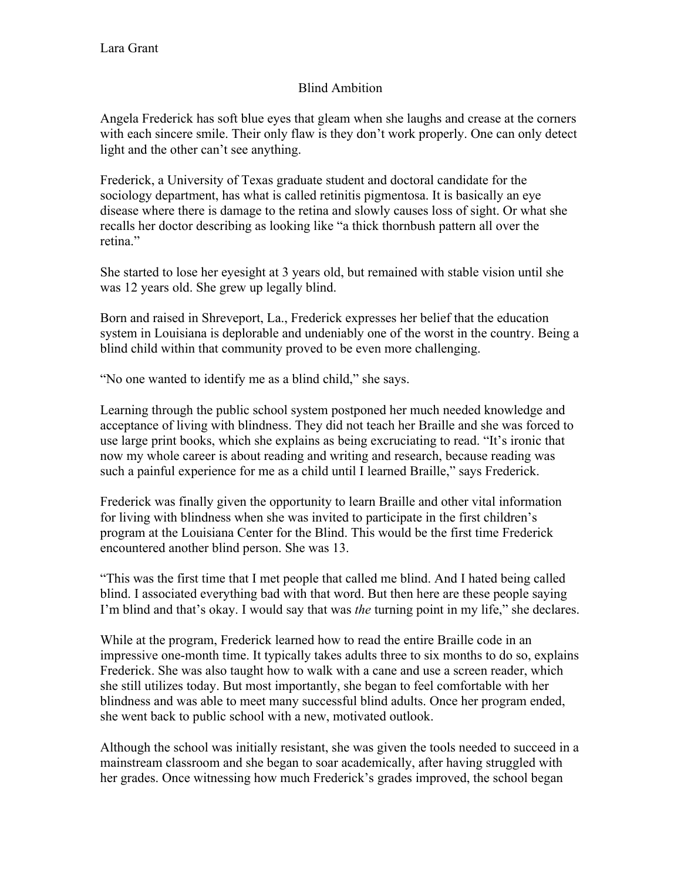## Blind Ambition

Angela Frederick has soft blue eyes that gleam when she laughs and crease at the corners with each sincere smile. Their only flaw is they don't work properly. One can only detect light and the other can't see anything.

Frederick, a University of Texas graduate student and doctoral candidate for the sociology department, has what is called retinitis pigmentosa. It is basically an eye disease where there is damage to the retina and slowly causes loss of sight. Or what she recalls her doctor describing as looking like "a thick thornbush pattern all over the retina."

She started to lose her eyesight at 3 years old, but remained with stable vision until she was 12 years old. She grew up legally blind.

Born and raised in Shreveport, La., Frederick expresses her belief that the education system in Louisiana is deplorable and undeniably one of the worst in the country. Being a blind child within that community proved to be even more challenging.

"No one wanted to identify me as a blind child," she says.

Learning through the public school system postponed her much needed knowledge and acceptance of living with blindness. They did not teach her Braille and she was forced to use large print books, which she explains as being excruciating to read. "It's ironic that now my whole career is about reading and writing and research, because reading was such a painful experience for me as a child until I learned Braille," says Frederick.

Frederick was finally given the opportunity to learn Braille and other vital information for living with blindness when she was invited to participate in the first children's program at the Louisiana Center for the Blind. This would be the first time Frederick encountered another blind person. She was 13.

"This was the first time that I met people that called me blind. And I hated being called blind. I associated everything bad with that word. But then here are these people saying I'm blind and that's okay. I would say that was *the* turning point in my life," she declares.

While at the program, Frederick learned how to read the entire Braille code in an impressive one-month time. It typically takes adults three to six months to do so, explains Frederick. She was also taught how to walk with a cane and use a screen reader, which she still utilizes today. But most importantly, she began to feel comfortable with her blindness and was able to meet many successful blind adults. Once her program ended, she went back to public school with a new, motivated outlook.

Although the school was initially resistant, she was given the tools needed to succeed in a mainstream classroom and she began to soar academically, after having struggled with her grades. Once witnessing how much Frederick's grades improved, the school began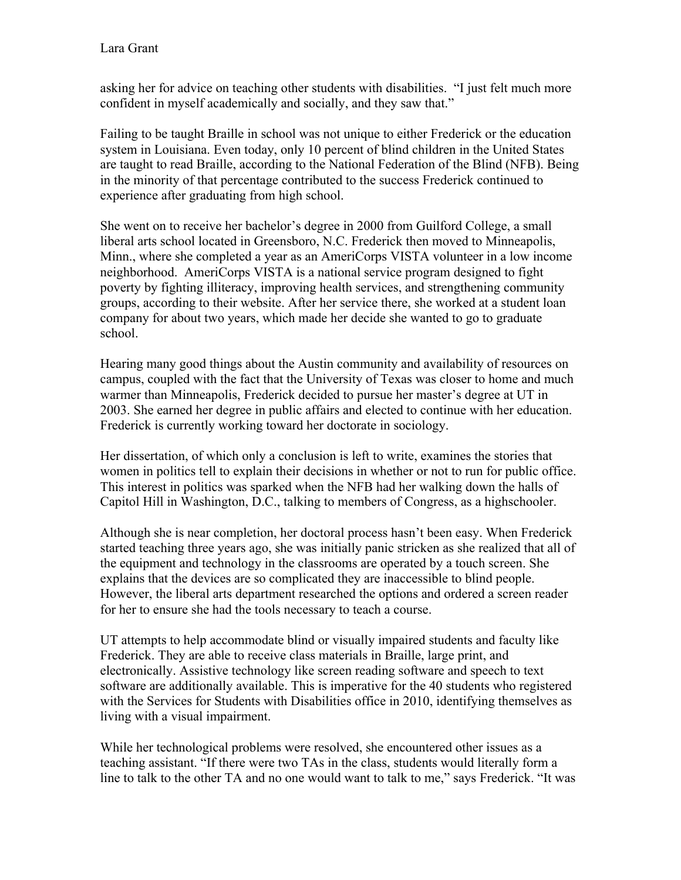asking her for advice on teaching other students with disabilities. "I just felt much more confident in myself academically and socially, and they saw that."

Failing to be taught Braille in school was not unique to either Frederick or the education system in Louisiana. Even today, only 10 percent of blind children in the United States are taught to read Braille, according to the National Federation of the Blind (NFB). Being in the minority of that percentage contributed to the success Frederick continued to experience after graduating from high school.

She went on to receive her bachelor's degree in 2000 from Guilford College, a small liberal arts school located in Greensboro, N.C. Frederick then moved to Minneapolis, Minn., where she completed a year as an AmeriCorps VISTA volunteer in a low income neighborhood. AmeriCorps VISTA is a national service program designed to fight poverty by fighting illiteracy, improving health services, and strengthening community groups, according to their website. After her service there, she worked at a student loan company for about two years, which made her decide she wanted to go to graduate school.

Hearing many good things about the Austin community and availability of resources on campus, coupled with the fact that the University of Texas was closer to home and much warmer than Minneapolis, Frederick decided to pursue her master's degree at UT in 2003. She earned her degree in public affairs and elected to continue with her education. Frederick is currently working toward her doctorate in sociology.

Her dissertation, of which only a conclusion is left to write, examines the stories that women in politics tell to explain their decisions in whether or not to run for public office. This interest in politics was sparked when the NFB had her walking down the halls of Capitol Hill in Washington, D.C., talking to members of Congress, as a highschooler.

Although she is near completion, her doctoral process hasn't been easy. When Frederick started teaching three years ago, she was initially panic stricken as she realized that all of the equipment and technology in the classrooms are operated by a touch screen. She explains that the devices are so complicated they are inaccessible to blind people. However, the liberal arts department researched the options and ordered a screen reader for her to ensure she had the tools necessary to teach a course.

UT attempts to help accommodate blind or visually impaired students and faculty like Frederick. They are able to receive class materials in Braille, large print, and electronically. Assistive technology like screen reading software and speech to text software are additionally available. This is imperative for the 40 students who registered with the Services for Students with Disabilities office in 2010, identifying themselves as living with a visual impairment.

While her technological problems were resolved, she encountered other issues as a teaching assistant. "If there were two TAs in the class, students would literally form a line to talk to the other TA and no one would want to talk to me," says Frederick. "It was